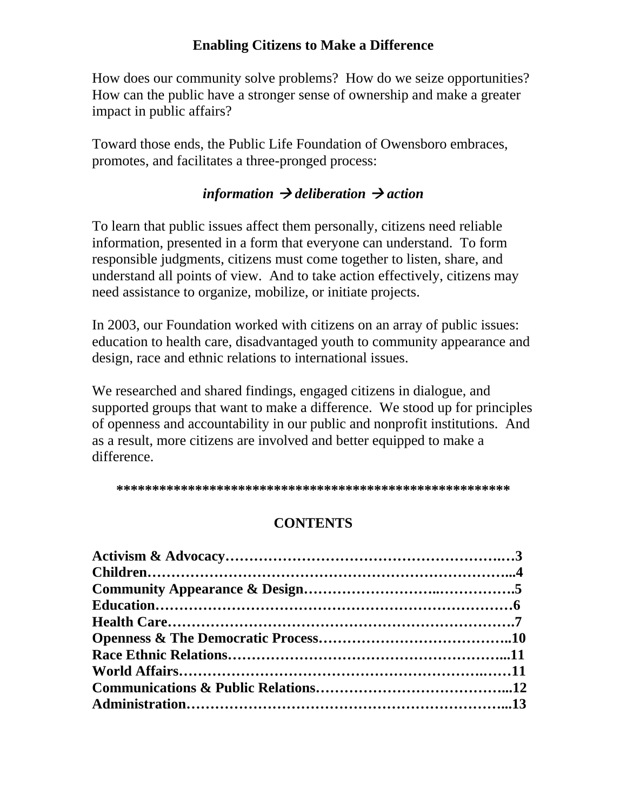#### **Enabling Citizens to Make a Difference**

How does our community solve problems? How do we seize opportunities? How can the public have a stronger sense of ownership and make a greater impact in public affairs?

Toward those ends, the Public Life Foundation of Owensboro embraces, promotes, and facilitates a three-pronged process:

#### $\hat{L}$  *information*  $\rightarrow$  *deliberation*  $\rightarrow$  *action*

To learn that public issues affect them personally, citizens need reliable information, presented in a form that everyone can understand. To form responsible judgments, citizens must come together to listen, share, and understand all points of view. And to take action effectively, citizens may need assistance to organize, mobilize, or initiate projects.

In 2003, our Foundation worked with citizens on an array of public issues: education to health care, disadvantaged youth to community appearance and design, race and ethnic relations to international issues.

We researched and shared findings, engaged citizens in dialogue, and supported groups that want to make a difference. We stood up for principles of openness and accountability in our public and nonprofit institutions. And as a result, more citizens are involved and better equipped to make a difference.

**\*\*\*\*\*\*\*\*\*\*\*\*\*\*\*\*\*\*\*\*\*\*\*\*\*\*\*\*\*\*\*\*\*\*\*\*\*\*\*\*\*\*\*\*\*\*\*\*\*\*\*\*\*\*\*** 

## **CONTENTS**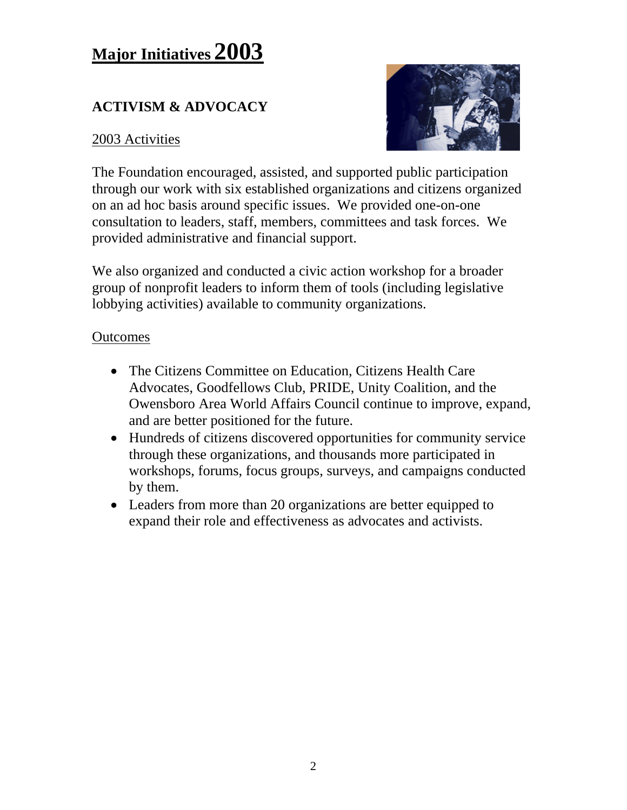# **Major Initiatives 2003**

## **ACTIVISM & ADVOCACY**

#### 2003 Activities



The Foundation encouraged, assisted, and supported public participation through our work with six established organizations and citizens organized on an ad hoc basis around specific issues. We provided one-on-one consultation to leaders, staff, members, committees and task forces. We provided administrative and financial support.

We also organized and conducted a civic action workshop for a broader group of nonprofit leaders to inform them of tools (including legislative lobbying activities) available to community organizations.

- The Citizens Committee on Education, Citizens Health Care Advocates, Goodfellows Club, PRIDE, Unity Coalition, and the Owensboro Area World Affairs Council continue to improve, expand, and are better positioned for the future.
- Hundreds of citizens discovered opportunities for community service through these organizations, and thousands more participated in workshops, forums, focus groups, surveys, and campaigns conducted by them.
- Leaders from more than 20 organizations are better equipped to expand their role and effectiveness as advocates and activists.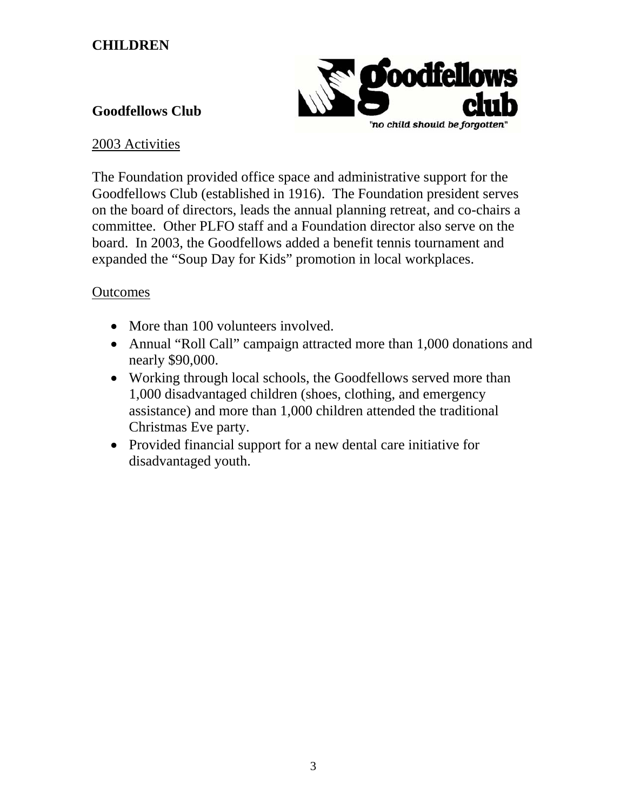#### **CHILDREN**



#### **Goodfellows Club**

#### 2003 Activities

The Foundation provided office space and administrative support for the Goodfellows Club (established in 1916). The Foundation president serves on the board of directors, leads the annual planning retreat, and co-chairs a committee. Other PLFO staff and a Foundation director also serve on the board. In 2003, the Goodfellows added a benefit tennis tournament and expanded the "Soup Day for Kids" promotion in local workplaces.

- More than 100 volunteers involved.
- Annual "Roll Call" campaign attracted more than 1,000 donations and nearly \$90,000.
- Working through local schools, the Goodfellows served more than 1,000 disadvantaged children (shoes, clothing, and emergency assistance) and more than 1,000 children attended the traditional Christmas Eve party.
- Provided financial support for a new dental care initiative for disadvantaged youth.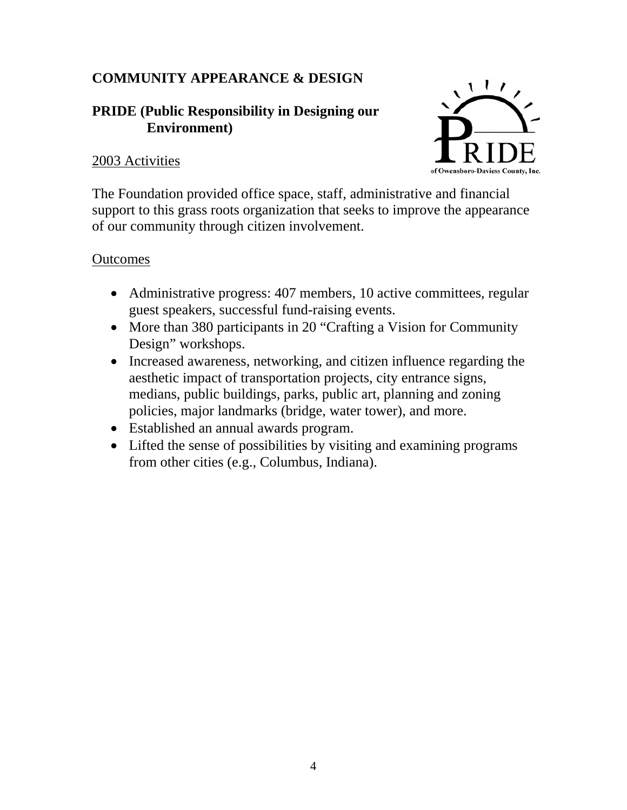## **COMMUNITY APPEARANCE & DESIGN**

#### **PRIDE (Public Responsibility in Designing our Environment)**

#### 2003 Activities



The Foundation provided office space, staff, administrative and financial support to this grass roots organization that seeks to improve the appearance of our community through citizen involvement.

- Administrative progress: 407 members, 10 active committees, regular guest speakers, successful fund-raising events.
- More than 380 participants in 20 "Crafting a Vision for Community Design" workshops.
- Increased awareness, networking, and citizen influence regarding the aesthetic impact of transportation projects, city entrance signs, medians, public buildings, parks, public art, planning and zoning policies, major landmarks (bridge, water tower), and more.
- Established an annual awards program.
- Lifted the sense of possibilities by visiting and examining programs from other cities (e.g., Columbus, Indiana).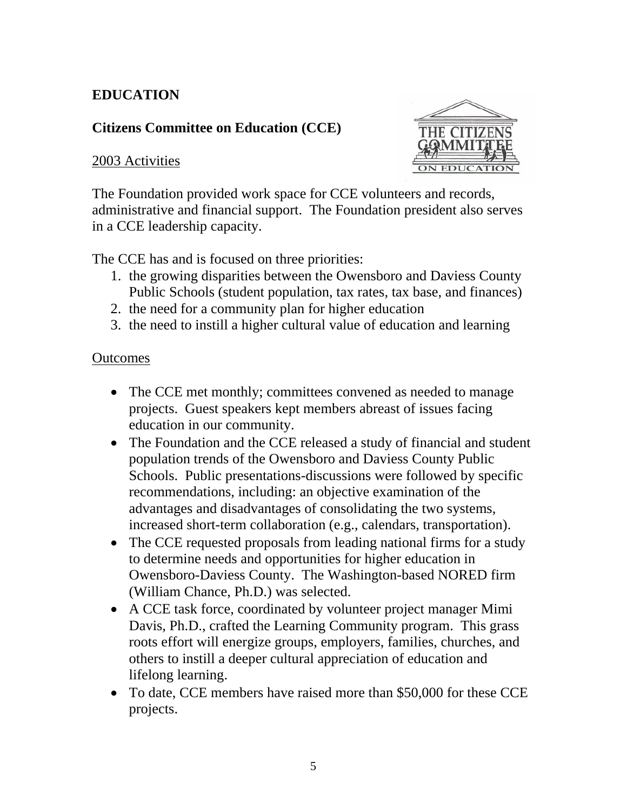## **EDUCATION**

#### **Citizens Committee on Education (CCE)**

#### 2003 Activities



The Foundation provided work space for CCE volunteers and records, administrative and financial support. The Foundation president also serves in a CCE leadership capacity.

The CCE has and is focused on three priorities:

- 1. the growing disparities between the Owensboro and Daviess County Public Schools (student population, tax rates, tax base, and finances)
- 2. the need for a community plan for higher education
- 3. the need to instill a higher cultural value of education and learning

- The CCE met monthly; committees convened as needed to manage projects. Guest speakers kept members abreast of issues facing education in our community.
- The Foundation and the CCE released a study of financial and student population trends of the Owensboro and Daviess County Public Schools. Public presentations-discussions were followed by specific recommendations, including: an objective examination of the advantages and disadvantages of consolidating the two systems, increased short-term collaboration (e.g., calendars, transportation).
- The CCE requested proposals from leading national firms for a study to determine needs and opportunities for higher education in Owensboro-Daviess County. The Washington-based NORED firm (William Chance, Ph.D.) was selected.
- A CCE task force, coordinated by volunteer project manager Mimi Davis, Ph.D., crafted the Learning Community program. This grass roots effort will energize groups, employers, families, churches, and others to instill a deeper cultural appreciation of education and lifelong learning.
- To date, CCE members have raised more than \$50,000 for these CCE projects.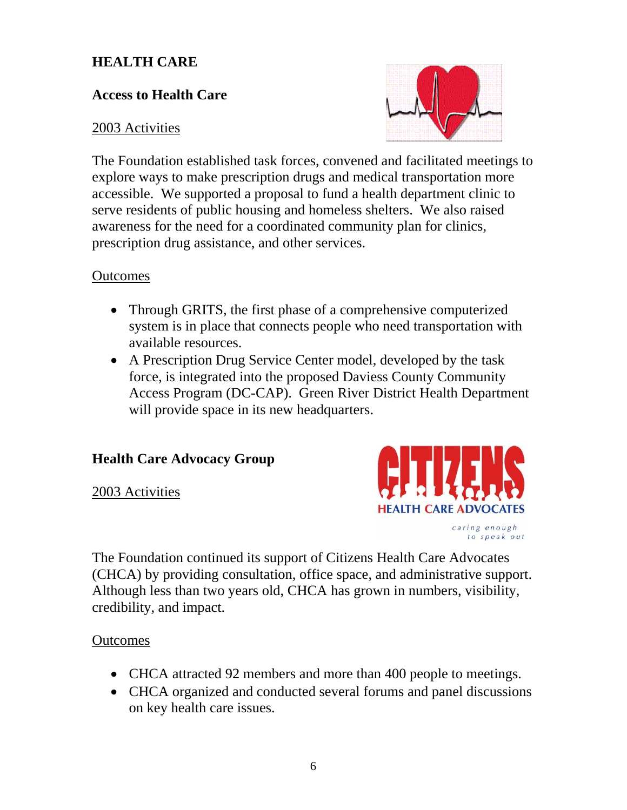#### **HEALTH CARE**

#### **Access to Health Care**

#### 2003 Activities



The Foundation established task forces, convened and facilitated meetings to explore ways to make prescription drugs and medical transportation more accessible. We supported a proposal to fund a health department clinic to serve residents of public housing and homeless shelters. We also raised awareness for the need for a coordinated community plan for clinics, prescription drug assistance, and other services.

#### **Outcomes**

- Through GRITS, the first phase of a comprehensive computerized system is in place that connects people who need transportation with available resources.
- A Prescription Drug Service Center model, developed by the task force, is integrated into the proposed Daviess County Community Access Program (DC-CAP). Green River District Health Department will provide space in its new headquarters.

#### **Health Care Advocacy Group**

2003 Activities



to speak out

The Foundation continued its support of Citizens Health Care Advocates (CHCA) by providing consultation, office space, and administrative support. Although less than two years old, CHCA has grown in numbers, visibility, credibility, and impact.

- CHCA attracted 92 members and more than 400 people to meetings.
- CHCA organized and conducted several forums and panel discussions on key health care issues.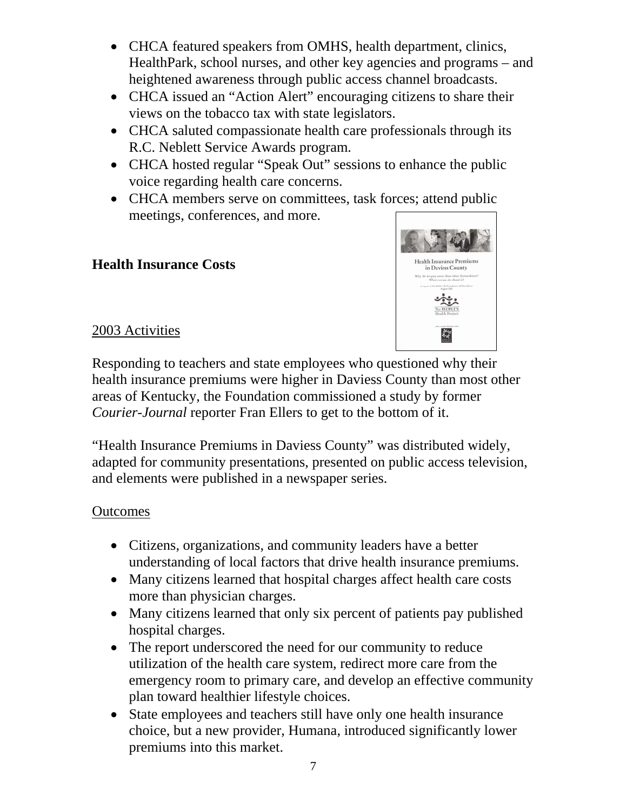- CHCA featured speakers from OMHS, health department, clinics, HealthPark, school nurses, and other key agencies and programs – and heightened awareness through public access channel broadcasts.
- CHCA issued an "Action Alert" encouraging citizens to share their views on the tobacco tax with state legislators.
- CHCA saluted compassionate health care professionals through its R.C. Neblett Service Awards program.
- CHCA hosted regular "Speak Out" sessions to enhance the public voice regarding health care concerns.
- CHCA members serve on committees, task forces; attend public meetings, conferences, and more.

#### **Health Insurance Costs**



#### 2003 Activities

Responding to teachers and state employees who questioned why their health insurance premiums were higher in Daviess County than most other areas of Kentucky, the Foundation commissioned a study by former *Courier-Journal* reporter Fran Ellers to get to the bottom of it.

"Health Insurance Premiums in Daviess County" was distributed widely, adapted for community presentations, presented on public access television, and elements were published in a newspaper series.

- Citizens, organizations, and community leaders have a better understanding of local factors that drive health insurance premiums.
- Many citizens learned that hospital charges affect health care costs more than physician charges.
- Many citizens learned that only six percent of patients pay published hospital charges.
- The report underscored the need for our community to reduce utilization of the health care system, redirect more care from the emergency room to primary care, and develop an effective community plan toward healthier lifestyle choices.
- State employees and teachers still have only one health insurance choice, but a new provider, Humana, introduced significantly lower premiums into this market.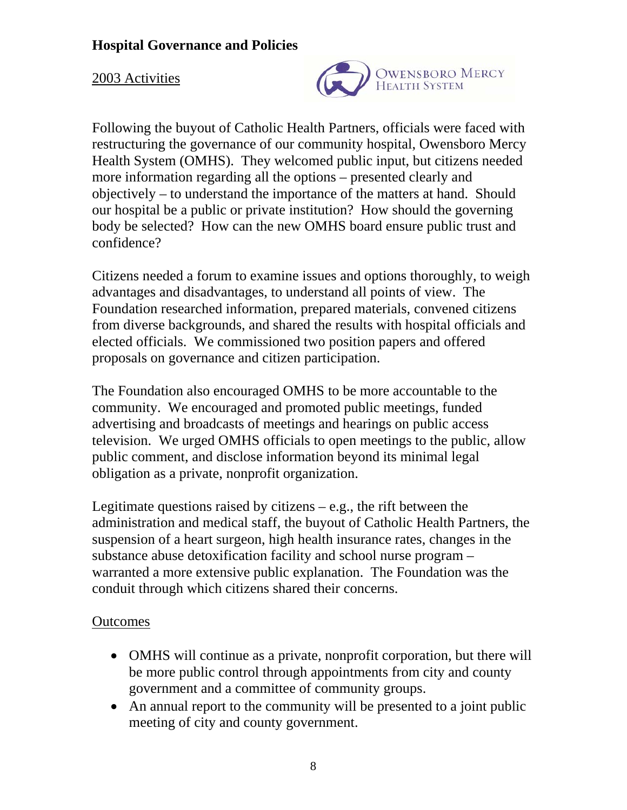#### 2003 Activities



Following the buyout of Catholic Health Partners, officials were faced with restructuring the governance of our community hospital, Owensboro Mercy Health System (OMHS). They welcomed public input, but citizens needed more information regarding all the options – presented clearly and objectively – to understand the importance of the matters at hand. Should our hospital be a public or private institution? How should the governing body be selected? How can the new OMHS board ensure public trust and confidence?

Citizens needed a forum to examine issues and options thoroughly, to weigh advantages and disadvantages, to understand all points of view. The Foundation researched information, prepared materials, convened citizens from diverse backgrounds, and shared the results with hospital officials and elected officials. We commissioned two position papers and offered proposals on governance and citizen participation.

The Foundation also encouraged OMHS to be more accountable to the community. We encouraged and promoted public meetings, funded advertising and broadcasts of meetings and hearings on public access television. We urged OMHS officials to open meetings to the public, allow public comment, and disclose information beyond its minimal legal obligation as a private, nonprofit organization.

Legitimate questions raised by citizens  $-e.g.,$  the rift between the administration and medical staff, the buyout of Catholic Health Partners, the suspension of a heart surgeon, high health insurance rates, changes in the substance abuse detoxification facility and school nurse program – warranted a more extensive public explanation. The Foundation was the conduit through which citizens shared their concerns.

- OMHS will continue as a private, nonprofit corporation, but there will be more public control through appointments from city and county government and a committee of community groups.
- An annual report to the community will be presented to a joint public meeting of city and county government.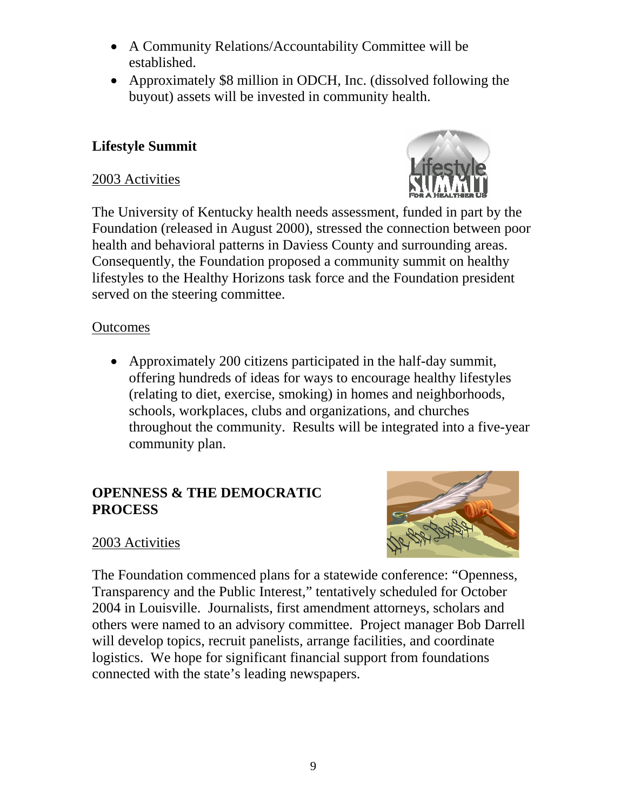- A Community Relations/Accountability Committee will be established.
- Approximately \$8 million in ODCH, Inc. (dissolved following the buyout) assets will be invested in community health.

#### **Lifestyle Summit**

#### 2003 Activities



The University of Kentucky health needs assessment, funded in part by the Foundation (released in August 2000), stressed the connection between poor health and behavioral patterns in Daviess County and surrounding areas. Consequently, the Foundation proposed a community summit on healthy lifestyles to the Healthy Horizons task force and the Foundation president served on the steering committee.

#### **Outcomes**

• Approximately 200 citizens participated in the half-day summit, offering hundreds of ideas for ways to encourage healthy lifestyles (relating to diet, exercise, smoking) in homes and neighborhoods, schools, workplaces, clubs and organizations, and churches throughout the community. Results will be integrated into a five-year community plan.

#### **OPENNESS & THE DEMOCRATIC PROCESS**



#### 2003 Activities

The Foundation commenced plans for a statewide conference: "Openness, Transparency and the Public Interest," tentatively scheduled for October 2004 in Louisville. Journalists, first amendment attorneys, scholars and others were named to an advisory committee. Project manager Bob Darrell will develop topics, recruit panelists, arrange facilities, and coordinate logistics. We hope for significant financial support from foundations connected with the state's leading newspapers.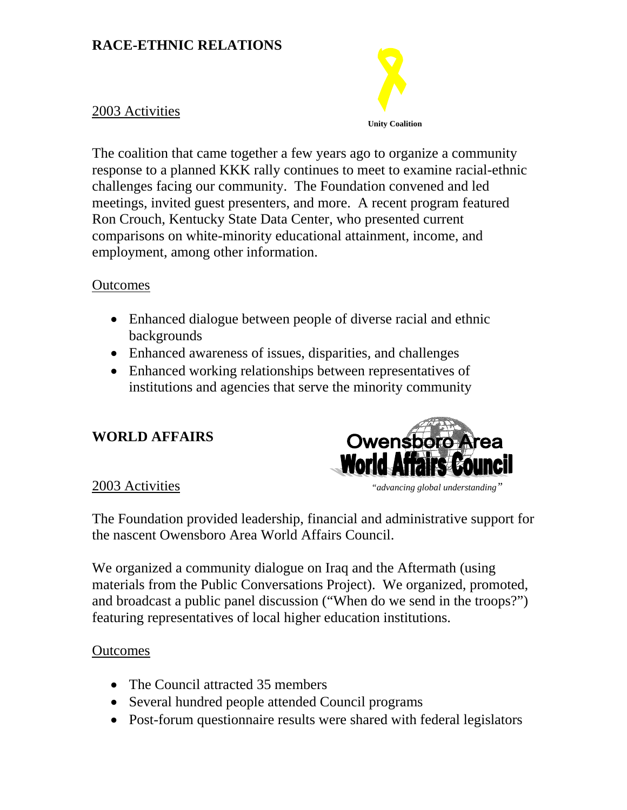#### **RACE-ETHNIC RELATIONS**



The coalition that came together a few years ago to organize a community response to a planned KKK rally continues to meet to examine racial-ethnic challenges facing our community. The Foundation convened and led meetings, invited guest presenters, and more. A recent program featured Ron Crouch, Kentucky State Data Center, who presented current comparisons on white-minority educational attainment, income, and employment, among other information.

#### **Outcomes**

- Enhanced dialogue between people of diverse racial and ethnic backgrounds
- Enhanced awareness of issues, disparities, and challenges
- Enhanced working relationships between representatives of institutions and agencies that serve the minority community

## **WORLD AFFAIRS**



The Foundation provided leadership, financial and administrative support for the nascent Owensboro Area World Affairs Council.

We organized a community dialogue on Iraq and the Aftermath (using materials from the Public Conversations Project). We organized, promoted, and broadcast a public panel discussion ("When do we send in the troops?") featuring representatives of local higher education institutions.

- The Council attracted 35 members
- Several hundred people attended Council programs
- Post-forum questionnaire results were shared with federal legislators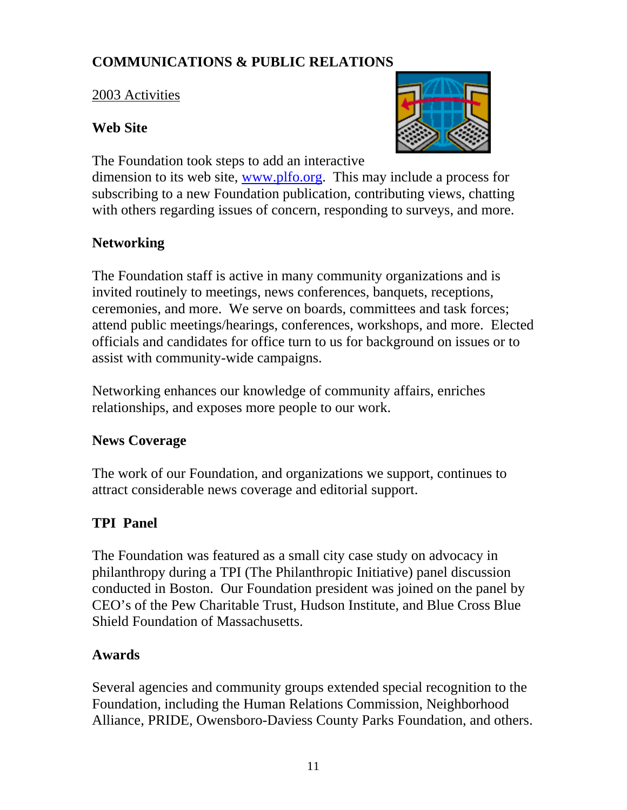## **COMMUNICATIONS & PUBLIC RELATIONS**

#### 2003 Activities

#### **Web Site**



The Foundation took steps to add an interactive

dimension to its web site, [www.plfo.org.](http://www.plfo.org/) This may include a process for subscribing to a new Foundation publication, contributing views, chatting with others regarding issues of concern, responding to surveys, and more.

#### **Networking**

The Foundation staff is active in many community organizations and is invited routinely to meetings, news conferences, banquets, receptions, ceremonies, and more. We serve on boards, committees and task forces; attend public meetings/hearings, conferences, workshops, and more. Elected officials and candidates for office turn to us for background on issues or to assist with community-wide campaigns.

Networking enhances our knowledge of community affairs, enriches relationships, and exposes more people to our work.

## **News Coverage**

The work of our Foundation, and organizations we support, continues to attract considerable news coverage and editorial support.

## **TPI Panel**

The Foundation was featured as a small city case study on advocacy in philanthropy during a TPI (The Philanthropic Initiative) panel discussion conducted in Boston. Our Foundation president was joined on the panel by CEO's of the Pew Charitable Trust, Hudson Institute, and Blue Cross Blue Shield Foundation of Massachusetts.

#### **Awards**

Several agencies and community groups extended special recognition to the Foundation, including the Human Relations Commission, Neighborhood Alliance, PRIDE, Owensboro-Daviess County Parks Foundation, and others.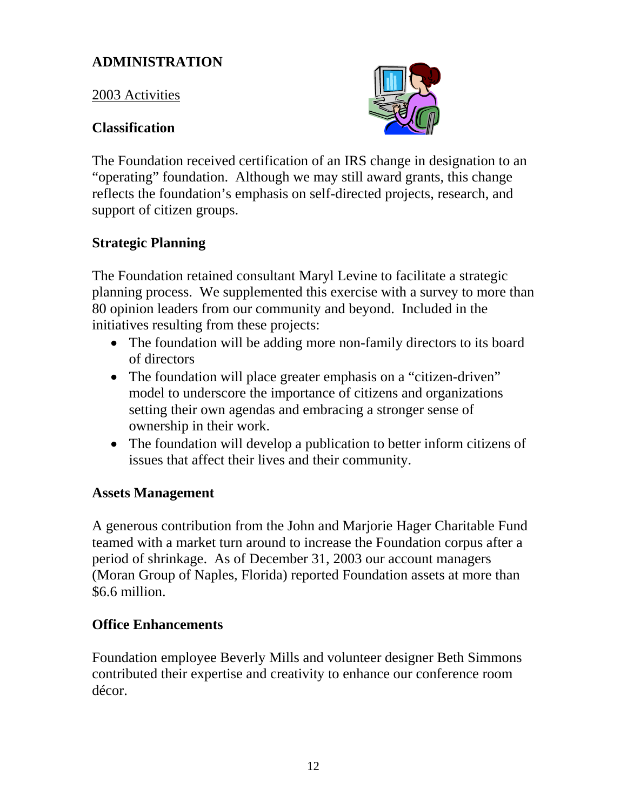#### **ADMINISTRATION**

2003 Activities

#### **Classification**



The Foundation received certification of an IRS change in designation to an "operating" foundation. Although we may still award grants, this change reflects the foundation's emphasis on self-directed projects, research, and support of citizen groups.

## **Strategic Planning**

The Foundation retained consultant Maryl Levine to facilitate a strategic planning process. We supplemented this exercise with a survey to more than 80 opinion leaders from our community and beyond. Included in the initiatives resulting from these projects:

- The foundation will be adding more non-family directors to its board of directors
- The foundation will place greater emphasis on a "citizen-driven" model to underscore the importance of citizens and organizations setting their own agendas and embracing a stronger sense of ownership in their work.
- The foundation will develop a publication to better inform citizens of issues that affect their lives and their community.

#### **Assets Management**

A generous contribution from the John and Marjorie Hager Charitable Fund teamed with a market turn around to increase the Foundation corpus after a period of shrinkage. As of December 31, 2003 our account managers (Moran Group of Naples, Florida) reported Foundation assets at more than \$6.6 million.

#### **Office Enhancements**

Foundation employee Beverly Mills and volunteer designer Beth Simmons contributed their expertise and creativity to enhance our conference room décor.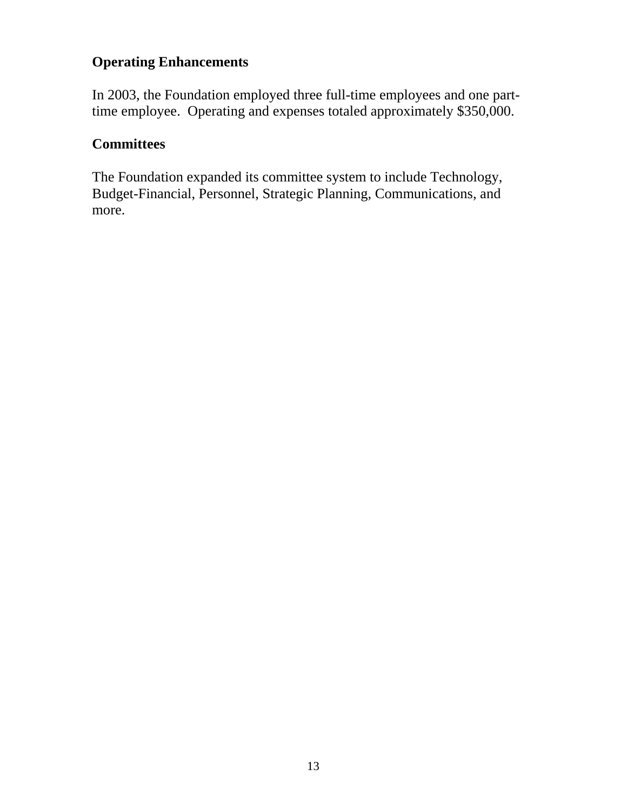#### **Operating Enhancements**

In 2003, the Foundation employed three full-time employees and one parttime employee. Operating and expenses totaled approximately \$350,000.

#### **Committees**

The Foundation expanded its committee system to include Technology, Budget-Financial, Personnel, Strategic Planning, Communications, and more.